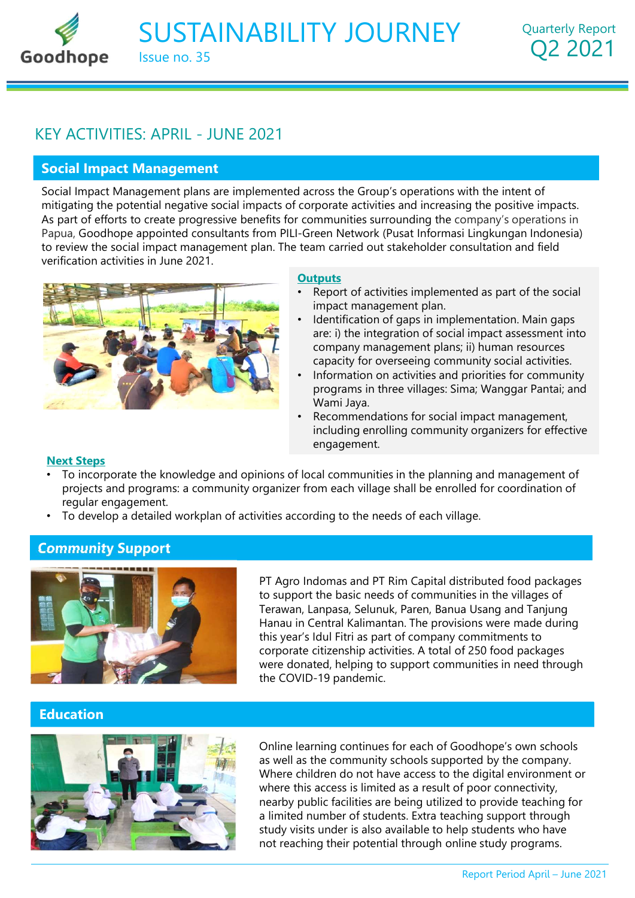SUSTAINABILITY JOURNEY Issue no. 35

# Social Impact Management

SUSTAINABILITY JOURNEY<br>
SOCIAL ISSUE NO. 35<br>
Social Impact Management<br>
Social Impact Management<br>
Social Impact Management<br>
Social Impact Management<br>
Social Impact Management<br>
As part of efforts to the cross the Group's ope mitigating the potential negative social impacts of corporate activities and increasing the positive impacts. As part of efforts to create progressive benefits for communities surrounding the company's operations in **SUSTAINABILITY JOURNEY** Quarterly Report<br> **O2 2021**<br> **EXACTIVITIES:** APRIL - JUNE 2021<br> **Social Impact Management**<br>
Social **Impact Management**<br>
Social **Impact Management**<br>
Social Migration Score a progressive benefits for SUSTAINABILITY JOURNEY Quarterly Report<br>
LEY ACTIVITIES: APRIL - JUNE 2021<br>
Social Impact Management<br>
Social Impact Management<br>
Social Impact Management plans are implemented across the Group's operations with the intent o SUSTAINABILITY JOURNEY<br>
very activities: APRIL - JUNE 2021.<br>
Social Impact Management<br>
Social Impact Management<br>
Social Impact Management<br>
Social Impact Management<br>
Social Impact Management<br>
As part of efforts to create pr comparison to the Group's operations with the intent of<br>prorate activities and increasing the positive impacts.<br>Examinantities surrounding the company's operations in<br>reen Network (Pusat Informasi Lingkungan Indonesia)<br>am provisors the Group's operations with the intent of<br>prorate activities and increasing the positive impacts.<br>mmunities surrounding the company's operations in<br>am carried out stakeholder consultation and field<br>**tyuts**<br>Report **Example 15 and School** according the positive impacts.<br>
• Comporate activities and increasing the positive impacts.<br>
• Communities surrounding the company's operations in<br>
• Green Network (Pusat Informasi Lingkungan Indon SUSTAINABILITY JOURNEY<br> **SUSTAINABILITY JOURNEY**<br>
REY ACTIVITIES: APRIL - JUNE 2021<br> **Social Impact Management**<br>
Social Impact Management<br>
plans are implemented across the Group's operations with the intent of<br>
mitigating



## **Outputs**

- Report of activities implemented as part of the social impact management plan.
- Identification of gaps in implementation. Main gaps are: i) the integration of social impact assessment into capacity for overseeing community social activities.
- Information on activities and priorities for community
- including enrolling community organizers for effective engagement.

## Next Steps

- To incorporate the knowledge and opinions of local communities in the planning and management of regular engagement.
- To develop a detailed workplan of activities according to the needs of each village.

# Community Support



Frame than the infinication of gaps in implementation. Main gaps<br>
are: i) the integration of social impact assessment into<br>
company management plans; ii) human resources<br>
capacity for overseeing community social activities to support the basic needs of communities in the villages of are: i) the integration of social impact assessment into<br>capacity for overseeing community social activities.<br>
hormation on activities and priorities for community<br>
programs in three villages: Sima; Wanggar Pantai; and<br>
Wa Hanau in Central Kalimantan. The provisions were made during capacity for overseeing community social activities.<br>
Information on activities and priorities for community<br>
programs in three villages: Sima; Wanggar Pantai; and<br>
Wami Jaya.<br>
• Recommendations for social impact managemen corporate citizenship activities. A total of 250 food packages were donated, helping to support communities in need through the COVID-19 pandemic. nions of local communities in the planning and management of<br>rganizer from each village shall be enrolled for coordination of<br>vities according to the needs of each village.<br>PT Agro Indomas and PT Rim Capital distributed fo

# Education



as well as the community schools supported by the company. Where children do not have access to the digital environment or where this access is limited as a result of poor connectivity, PT Agro Indomas and PT Rim Capital distributed food packages<br>to support the basic needs of communities in the villages of<br>Terawan, Lanpasa, Selunuk, Paren, Banua Usang and Tanjung<br>Hanau in Central Kalimantan. The provision a limited number of students. Extra teaching support through study visits under is also available to help students who have not reaching their potential through online study programs. Report Period April – June 2021<br>Report Period April – June 2021<br>The Standard April – June 2021<br>The Apple Standard April – June 2021<br>The Standard April – June 2021<br>Report Period April – June 2021<br>Report Period April – June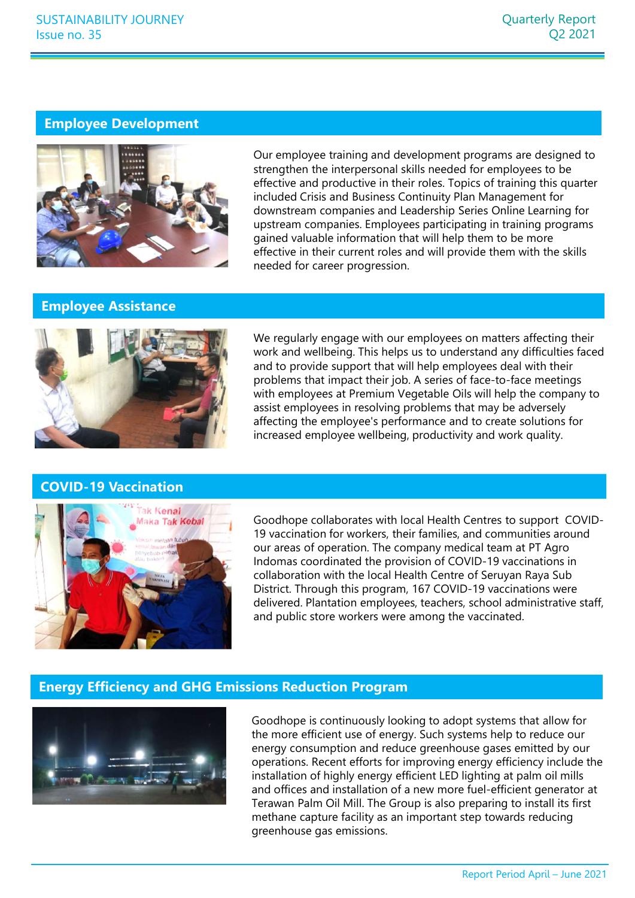## Employee Development



Our employee training and development programs are designed to<br>strengthen the interpresonal skills needed for employees to be<br>effective and productive in their roles. Topics of training this quarter<br>included Crisis and Bus Our employe draming and development programs are usigned of the interpersonal skills needed for employees to be<br>effective and productive in their roles. Topics of training this quarter<br>included Crisis and Business Continui Our employee training and development programs are designed to strengthen the interpersonal skills needed for employees to be effective and productive in their roles. Topics of training this quarter included Crisis and Business Continuity Plan Management for downstream companies and Leadership Series Online Learning for upstream companies. Employees participating in training programs gained valuable information that will help them to be more Quarterly Report<br>Q2 2021<br>Q2 2021<br>How employee training and development programs are designed to<br>strengthen the interpresonal skills needed for employees to be<br>effective and productive in their roles. Topics of training thi needed for career progression.

## Employee Assistance



We regularly engage with our employees on matters affecting their work and wellbeing. This helps us to understand any difficulties faced problems that impact their job. A series of face-to-face meetings with employees at Premium Vegetable Oils will help the company to assist employees in resolving problems that may be adversely affecting the employee's performance and to create solutions for gomen vandone minimator and with reply and with provide them with the skills<br>needed for career progression.<br>We regularly engage with our employees on matters affecting their<br>work and wellbeing. This helps us to understand

# COVID-19 Vaccination



19 vaccination for workers, their families, and communities around our areas of operation. The company medical team at PT Agro We regularly engage with our employees on matters affecting their<br>work and wellbeing. This helps us to understand any difficulties faced<br>and to provide support that will help employees deal with their<br>problems that impact We regularly engage with our employees on matters affecting their<br>work and wellbeing. This helps us to understand any difficulties faced<br>and to provide support that will help employees deal with their<br>problems that impact District. Through this program, 167 COVID-19 vaccinations were delivered. Plantation employees, teachers, school administrative staff, and public store workers were among the vaccinated. Goodhope collaborates with local Health Centres to support COVID-<br>19 vaccination for workers, their families, and communities around<br>our areas of operation. The company medical team at PT Agro<br>Indomas coordinated the provi Goodhope collaborates with local Health Centres to support COVID-<br>19 vaccination for workers, their families, and communities around<br>our areas of operation. The company medical team at PT Agro<br>Indomas coordinated the provi

# Energy Efficiency and GHG Emissions Reduction Program



Report Period April – June 2021<br>Report Period April – Mechanism and the Upper<br>Separated By our<br>the Upper Period By our<br>period at palm oil mills<br>and the Upper Period april – June 2021<br>Report Period April – June 2021<br>Report the more efficient use of energy. Such systems help to reduce our operations. Recent efforts for improving energy efficiency include the installation of highly energy efficient LED lighting at palm oil mills and offices and installation of a new more fuel-efficient generator at Terawan Palm Oil Mill. The Group is also preparing to install its first members of Dental in the condition of control of COVID-19 vaccinations in collaboration with the local Health Centre of Seruyan Raya Sub District. Thr methane capture facility as an important step towards reducing greenhouse gas emissions.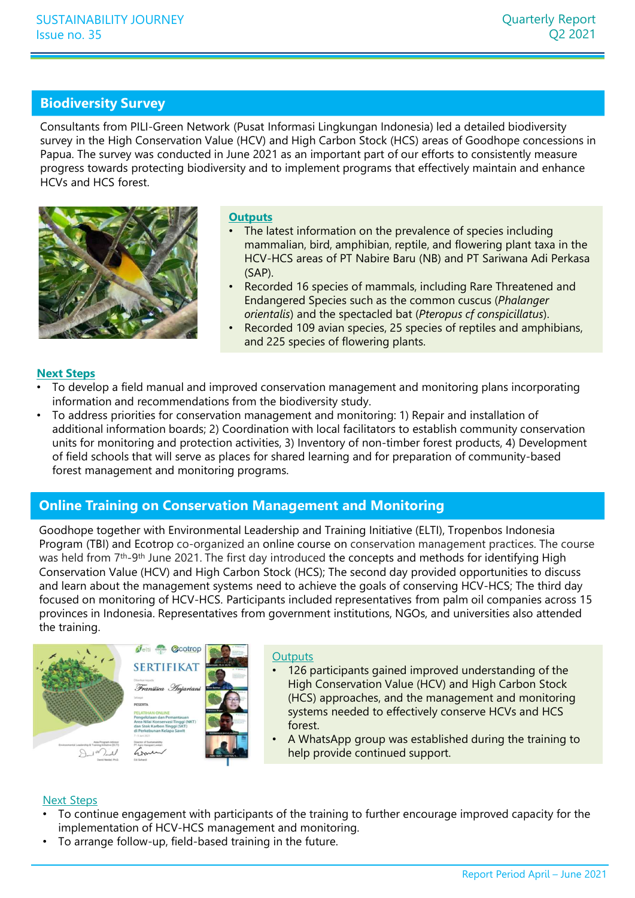## Biodiversity Survey

Consultants from PILI-Green Network (Pusat Informasi Lingkungan Indonesia) led a detailed biodiversity<br>
Consultants from PILI-Green Network (Pusat Informasi Lingkungan Indonesia) led a detailed biodiversity<br>
Survey in the SUSTAINABILITY JOURNEY<br>
Sisue no. 35<br>
Q2 2021<br> **Biodiversity Survey**<br>
Consultants from PILI-Green Network (Pusat Informasi Lingkungan Indonesia) led a detailed biodiversity<br>
survey in the High Conservation Value (HCV) and Papua. The survey was conducted in June 2021 as an important part of our efforts to consistently measure progress towards protecting biodiversity and to implement programs that effectively maintain and enhance HCVs and HCS forest. Quarterly Report<br>Q2 2021<br>Q2 2021<br>HCV) and High Carbon Stock (HCS) areas of Goodhope concessions in<br>2021 as an important part of our efforts to consistently measure<br>and to implement programs that effectively maintain and en orient (Pusat Informasi Lingkungan Indonesia) led a detailed biodiversity<br>
(HCV) and High Carbon Stock (HCS) areas of Goodhope concessions in<br>
une 2021 as an important part of our efforts to consistently measure<br>
tive an



### **Outputs**

- The latest information on the prevalence of species including mammalian, bird, amphibian, reptile, and flowering plant taxa in the (SAP).
- Recorded 16 species of mammals, including Rare Threatened and Endangered Species such as the common cuscus (Phalanger
- and 225 species of flowering plants.

### Next Steps

- To develop a field manual and improved conservation management and monitoring plans incorporating information and recommendations from the biodiversity study.
- To address priorities for conservation management and monitoring: 1) Repair and installation of additional information boards; 2) Coordination with local facilitators to establish community conservation units for monitoring and protection activities, 3) Inventory of non-timber forest products, 4) Development of field schools that will serve as places for shared learning and for preparation of community-based forest management and monitoring programs.

# Online Training on Conservation Management and Monitoring

How the state of the state of the state of the state of the state of the control of the species of mannimis, including Rare Threatened and<br>
Encorded 16 species of mannimis, including Rare Threatened and<br>
orientalia) and th Program (TBI) and Ecotrop co-organized an online course on conservation management practices. The course was held from 7<sup>th</sup>-9<sup>th</sup> June 2021. The first day introduced the concepts and methods for identifying High Conservation Value (HCV) and High Carbon Stock (HCS); The second day provided opportunities to discuss and learn about the management systems need to achieve the goals of conserving HCV-HCS; The third day **Example 100 Recorded 109 avian species, 25 species of reptiles and amphibians,**<br> **Focused on a feed manual and improved conservation management and monitoring plans incorporating<br>
Information and recommendations from t** provinces in Indonesia. Representatives from government institutions, NGOs, and universities also attended the training.





#### **Outputs**

- m oll companies across 15<br>niversities also attended<br>understanding of the<br>d High Carbon Stock<br>ement and monitoring<br>serve HCVs and HCS<br>d during the training to<br>improved capacity for the<br>Report Period April June 2021 126 participants gained improved understanding of the High Conservation Value (HCV) and High Carbon Stock (HCS) approaches, and the management and monitoring systems needed to effectively conserve HCVs and HCS forest.
- A WhatsApp group was established during the training to help provide continued support.

## Next Steps

- To continue engagement with participants of the training to further encourage improved capacity for the implementation of HCV-HCS management and monitoring.
- To arrange follow-up, field-based training in the future.